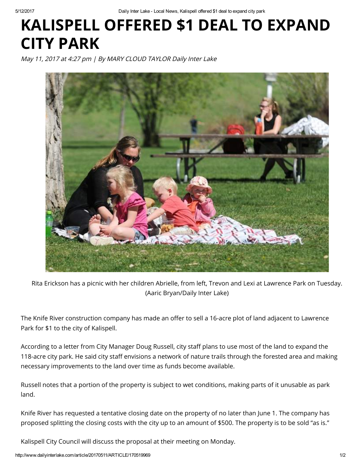5/12/2017 Daily Inter Lake Local News, Kalispell offered \$1 deal to expand city park

## KALISPELL OFFERED \$1 DEAL TO EXPAND CITY PARK

May 11, 2017 at 4:27 pm | By MARY CLOUD TAYLOR Daily Inter Lake



Rita Erickson has a picnic with her children Abrielle, from left, Trevon and Lexi at Lawrence Park on Tuesday. (Aaric Bryan/Daily Inter Lake)

The Knife River construction company has made an offer to sell a 16-acre plot of land adjacent to Lawrence Park for \$1 to the city of Kalispell.

According to a letter from City Manager Doug Russell, city staff plans to use most of the land to expand the 118-acre city park. He said city staff envisions a network of nature trails through the forested area and making necessary improvements to the land over time as funds become available.

Russell notes that a portion of the property is subject to wet conditions, making parts of it unusable as park land.

Knife River has requested a tentative closing date on the property of no later than June 1. The company has proposed splitting the closing costs with the city up to an amount of \$500. The property is to be sold "as is."

Kalispell City Council will discuss the proposal at their meeting on Monday.